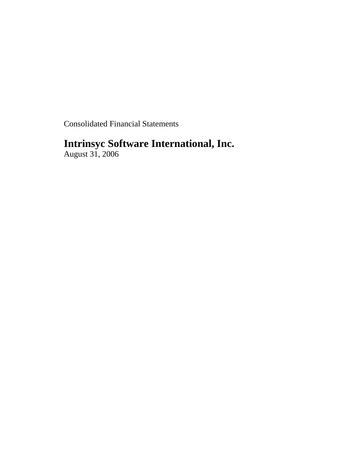Consolidated Financial Statements

# **Intrinsyc Software International, Inc.**

August 31, 2006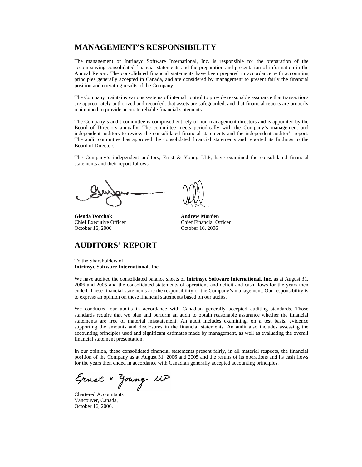## **MANAGEMENT'S RESPONSIBILITY**

The management of Intrinsyc Software International, Inc. is responsible for the preparation of the accompanying consolidated financial statements and the preparation and presentation of information in the Annual Report. The consolidated financial statements have been prepared in accordance with accounting principles generally accepted in Canada, and are considered by management to present fairly the financial position and operating results of the Company.

The Company maintains various systems of internal control to provide reasonable assurance that transactions are appropriately authorized and recorded, that assets are safeguarded, and that financial reports are properly maintained to provide accurate reliable financial statements.

The Company's audit committee is comprised entirely of non-management directors and is appointed by the Board of Directors annually. The committee meets periodically with the Company's management and independent auditors to review the consolidated financial statements and the independent auditor's report. The audit committee has approved the consolidated financial statements and reported its findings to the Board of Directors.

The Company's independent auditors, Ernst & Young LLP, have examined the consolidated financial statements and their report follows.

**Glenda Dorchak Andrew Morden** Chief Executive Officer Chief Financial Officer October 16, 2006 October 16, 2006

## **AUDITORS' REPORT**

To the Shareholders of **Intrinsyc Software International, Inc.**

We have audited the consolidated balance sheets of **Intrinsyc Software International, Inc.** as at August 31, 2006 and 2005 and the consolidated statements of operations and deficit and cash flows for the years then ended. These financial statements are the responsibility of the Company's management. Our responsibility is to express an opinion on these financial statements based on our audits.

We conducted our audits in accordance with Canadian generally accepted auditing standards. Those standards require that we plan and perform an audit to obtain reasonable assurance whether the financial statements are free of material misstatement. An audit includes examining, on a test basis, evidence supporting the amounts and disclosures in the financial statements. An audit also includes assessing the accounting principles used and significant estimates made by management, as well as evaluating the overall financial statement presentation.

In our opinion, these consolidated financial statements present fairly, in all material respects, the financial position of the Company as at August 31, 2006 and 2005 and the results of its operations and its cash flows for the years then ended in accordance with Canadian generally accepted accounting principles.

Ernst + Young LLP

Chartered Accountants Vancouver, Canada, October 16, 2006.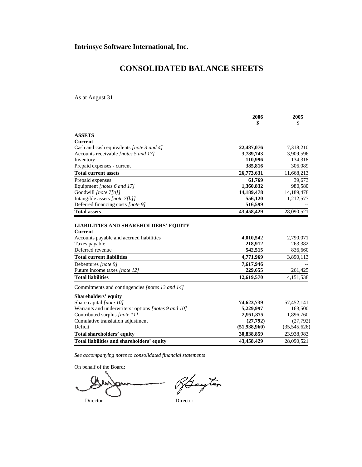# **CONSOLIDATED BALANCE SHEETS**

As at August 31

|                                                                                                                                                                                                           | 2006                                                      | 2005                                         |
|-----------------------------------------------------------------------------------------------------------------------------------------------------------------------------------------------------------|-----------------------------------------------------------|----------------------------------------------|
|                                                                                                                                                                                                           | \$                                                        | \$                                           |
| <b>ASSETS</b>                                                                                                                                                                                             |                                                           |                                              |
| <b>Current</b>                                                                                                                                                                                            |                                                           |                                              |
| Cash and cash equivalents [note 3 and 4]                                                                                                                                                                  | 22,487,076                                                | 7,318,210                                    |
| Accounts receivable [notes 5 and 17]                                                                                                                                                                      | 3,789,743                                                 | 3,909,596                                    |
| Inventory                                                                                                                                                                                                 | 110,996                                                   | 134,318                                      |
| Prepaid expenses - current                                                                                                                                                                                | 385,816                                                   | 306,089                                      |
| <b>Total current assets</b>                                                                                                                                                                               | 26,773,631                                                | 11,668,213                                   |
| Prepaid expenses                                                                                                                                                                                          | 61,769                                                    | 39,673                                       |
| Equipment [notes 6 and 17]                                                                                                                                                                                | 1,360,832                                                 | 980,580                                      |
| Goodwill [note 7[a]]                                                                                                                                                                                      | 14,189,478                                                | 14,189,478                                   |
| Intangible assets [note 7[b]]                                                                                                                                                                             | 556,120                                                   | 1,212,577                                    |
| Deferred financing costs [note 9]                                                                                                                                                                         | 516,599                                                   |                                              |
| <b>Total assets</b>                                                                                                                                                                                       | 43,458,429                                                | 28,090,521                                   |
| <b>LIABILITIES AND SHAREHOLDERS' EQUITY</b><br><b>Current</b><br>Accounts payable and accrued liabilities<br>Taxes payable<br>Deferred revenue<br><b>Total current liabilities</b><br>Debentures [note 9] | 4,010,542<br>218,912<br>542,515<br>4,771,969<br>7,617,946 | 2,790,071<br>263,382<br>836,660<br>3,890,113 |
| Future income taxes [note 12]                                                                                                                                                                             | 229,655                                                   | 261,425                                      |
| <b>Total liabilities</b>                                                                                                                                                                                  | 12,619,570                                                | 4,151,538                                    |
| Commitments and contingencies [notes 13 and 14]                                                                                                                                                           |                                                           |                                              |
| Shareholders' equity                                                                                                                                                                                      |                                                           |                                              |
| Share capital [note 10]                                                                                                                                                                                   | 74,623,739                                                | 57,452,141                                   |
| Warrants and underwriters' options [notes 9 and 10]                                                                                                                                                       | 5,229,997                                                 | 163,500                                      |
| Contributed surplus [note 11]                                                                                                                                                                             | 2,951,875                                                 | 1,896,760                                    |
| Cumulative translation adjustment                                                                                                                                                                         | (27,792)                                                  | (27,792)                                     |
| Deficit                                                                                                                                                                                                   | (51, 938, 960)                                            | (35,545,626)                                 |
| Total shareholders' equity                                                                                                                                                                                | 30,838,859                                                | 23,938,983                                   |
| Total liabilities and shareholders' equity                                                                                                                                                                | 43,458,429                                                | 28,090,521                                   |

*See accompanying notes to consolidated financial statements* 

On behalf of the Board:

Rayton Director Director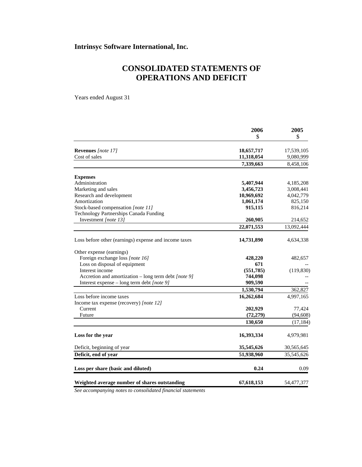## **Intrinsyc Software International, Inc.**

# **CONSOLIDATED STATEMENTS OF OPERATIONS AND DEFICIT**

Years ended August 31

|                                                       | 2006       | 2005       |
|-------------------------------------------------------|------------|------------|
|                                                       | \$         | \$         |
| Revenues [note 17]                                    | 18,657,717 | 17,539,105 |
| Cost of sales                                         | 11,318,054 | 9,080,999  |
|                                                       | 7,339,663  | 8,458,106  |
| <b>Expenses</b>                                       |            |            |
| Administration                                        | 5,407,944  | 4,185,208  |
| Marketing and sales                                   | 3,456,723  | 3,008,441  |
| Research and development                              | 10,969,692 | 4,042,779  |
| Amortization                                          | 1,061,174  | 825,150    |
| Stock-based compensation [note 11]                    | 915,115    | 816,214    |
| Technology Partnerships Canada Funding                |            |            |
| Investment [note 13]                                  | 260,905    | 214,652    |
|                                                       | 22,071,553 | 13,092,444 |
| Loss before other (earnings) expense and income taxes | 14,731,890 | 4,634,338  |
| Other expense (earnings)                              |            |            |
| Foreign exchange loss [note 16]                       | 428,220    | 482,657    |
| Loss on disposal of equipment                         | 671        |            |
| Interest income                                       | (551,785)  | (119, 830) |
| Accretion and amortization - long term debt [note 9]  | 744,098    |            |
| Interest expense – long term debt [note 9]            | 909,590    |            |
|                                                       | 1,530,794  | 362,827    |
| Loss before income taxes                              | 16,262,684 | 4,997,165  |
| Income tax expense (recovery) [note 12]               |            |            |
| Current                                               | 202,929    | 77,424     |
| Future                                                | (72, 279)  | (94, 608)  |
|                                                       | 130,650    | (17, 184)  |
| Loss for the year                                     | 16,393,334 | 4,979,981  |
| Deficit, beginning of year                            | 35,545,626 | 30,565,645 |
| Deficit, end of year                                  | 51,938,960 | 35,545,626 |
| Loss per share (basic and diluted)                    | 0.24       | 0.09       |
| Weighted average number of shares outstanding         | 67,618,153 | 54,477,377 |

*See accompanying notes to consolidated financial statements*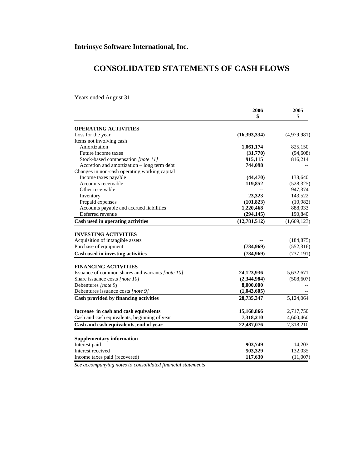# **CONSOLIDATED STATEMENTS OF CASH FLOWS**

Years ended August 31

|                                                                                 | 2006<br>\$     | 2005<br>\$  |
|---------------------------------------------------------------------------------|----------------|-------------|
|                                                                                 |                |             |
| <b>OPERATING ACTIVITIES</b>                                                     | (16,393,334)   | (4,979,981) |
| Loss for the year<br>Items not involving cash                                   |                |             |
| Amortization                                                                    | 1,061,174      | 825,150     |
| Future income taxes                                                             | (31,770)       | (94, 608)   |
| Stock-based compensation [note 11]                                              | 915,115        | 816,214     |
| Accretion and amortization - long term debt                                     | 744,098        |             |
| Changes in non-cash operating working capital                                   |                |             |
| Income taxes payable                                                            | (44, 470)      | 133,640     |
| Accounts receivable                                                             | 119,852        | (528, 325)  |
| Other receivable                                                                |                | 947,374     |
| Inventory                                                                       | 23,323         | 143,522     |
| Prepaid expenses                                                                | (101, 823)     | (10,982)    |
| Accounts payable and accrued liabilities                                        | 1,220,468      | 888,033     |
| Deferred revenue                                                                | (294, 145)     | 190,840     |
|                                                                                 |                |             |
| Cash used in operating activities                                               | (12, 781, 512) | (1,669,123) |
|                                                                                 |                |             |
| <b>INVESTING ACTIVITIES</b>                                                     |                |             |
| Acquisition of intangible assets                                                |                | (184, 875)  |
| Purchase of equipment                                                           | (784, 969)     | (552,316)   |
| Cash used in investing activities                                               | (784,969)      | (737, 191)  |
|                                                                                 |                |             |
| <b>FINANCING ACTIVITIES</b><br>Issuance of common shares and warrants [note 10] | 24,123,936     |             |
|                                                                                 | (2,344,984)    | 5,632,671   |
| Share issuance costs [note 10]                                                  |                | (508, 607)  |
| Debentures [note 9]                                                             | 8,000,000      |             |
| Debentures issuance costs [note 9]                                              | (1,043,605)    |             |
| Cash provided by financing activities                                           | 28,735,347     | 5,124,064   |
| Increase in cash and cash equivalents                                           | 15,168,866     | 2,717,750   |
| Cash and cash equivalents, beginning of year                                    | 7,318,210      | 4,600,460   |
|                                                                                 |                |             |
| Cash and cash equivalents, end of year                                          | 22,487,076     | 7,318,210   |
| <b>Supplementary information</b>                                                |                |             |
| Interest paid                                                                   | 903,749        | 14,203      |
| Interest received                                                               | 503,329        | 132,035     |
| Income taxes paid (recovered)                                                   | 117,630        | (11,007)    |

*See accompanying notes to consolidated financial statements*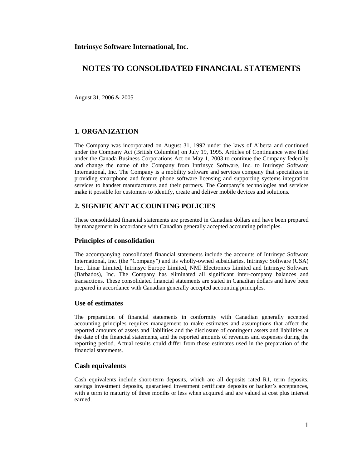August 31, 2006 & 2005

### **1. ORGANIZATION**

The Company was incorporated on August 31, 1992 under the laws of Alberta and continued under the Company Act (British Columbia) on July 19, 1995. Articles of Continuance were filed under the Canada Business Corporations Act on May 1, 2003 to continue the Company federally and change the name of the Company from Intrinsyc Software, Inc. to Intrinsyc Software International, Inc. The Company is a mobility software and services company that specializes in providing smartphone and feature phone software licensing and supporting systems integration services to handset manufacturers and their partners. The Company's technologies and services make it possible for customers to identify, create and deliver mobile devices and solutions.

### **2. SIGNIFICANT ACCOUNTING POLICIES**

These consolidated financial statements are presented in Canadian dollars and have been prepared by management in accordance with Canadian generally accepted accounting principles.

#### **Principles of consolidation**

The accompanying consolidated financial statements include the accounts of Intrinsyc Software International, Inc. (the "Company") and its wholly-owned subsidiaries, Intrinsyc Software (USA) Inc., Linar Limited, Intrinsyc Europe Limited, NMI Electronics Limited and Intrinsyc Software (Barbados), Inc. The Company has eliminated all significant inter-company balances and transactions. These consolidated financial statements are stated in Canadian dollars and have been prepared in accordance with Canadian generally accepted accounting principles.

#### **Use of estimates**

The preparation of financial statements in conformity with Canadian generally accepted accounting principles requires management to make estimates and assumptions that affect the reported amounts of assets and liabilities and the disclosure of contingent assets and liabilities at the date of the financial statements, and the reported amounts of revenues and expenses during the reporting period. Actual results could differ from those estimates used in the preparation of the financial statements.

#### **Cash equivalents**

Cash equivalents include short-term deposits, which are all deposits rated R1, term deposits, savings investment deposits, guaranteed investment certificate deposits or banker's acceptances, with a term to maturity of three months or less when acquired and are valued at cost plus interest earned.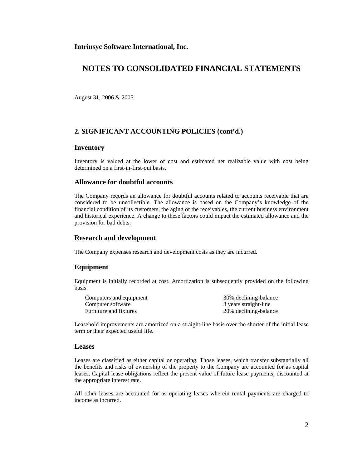**Intrinsyc Software International, Inc.** 

## **NOTES TO CONSOLIDATED FINANCIAL STATEMENTS**

August 31, 2006 & 2005

### **2. SIGNIFICANT ACCOUNTING POLICIES (cont'd.)**

#### **Inventory**

Inventory is valued at the lower of cost and estimated net realizable value with cost being determined on a first-in-first-out basis.

### **Allowance for doubtful accounts**

The Company records an allowance for doubtful accounts related to accounts receivable that are considered to be uncollectible. The allowance is based on the Company's knowledge of the financial condition of its customers, the aging of the receivables, the current business environment and historical experience. A change to these factors could impact the estimated allowance and the provision for bad debts.

#### **Research and development**

The Company expenses research and development costs as they are incurred.

### **Equipment**

Equipment is initially recorded at cost. Amortization is subsequently provided on the following basis:

| Computers and equipment | 30% declining-balance |
|-------------------------|-----------------------|
| Computer software       | 3 years straight-line |
| Furniture and fixtures  | 20% declining-balance |

Leasehold improvements are amortized on a straight-line basis over the shorter of the initial lease term or their expected useful life.

#### **Leases**

Leases are classified as either capital or operating. Those leases, which transfer substantially all the benefits and risks of ownership of the property to the Company are accounted for as capital leases. Capital lease obligations reflect the present value of future lease payments, discounted at the appropriate interest rate.

All other leases are accounted for as operating leases wherein rental payments are charged to income as incurred.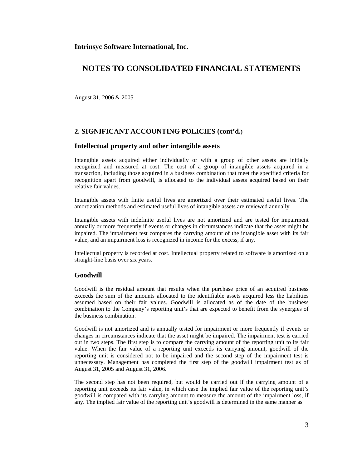**Intrinsyc Software International, Inc.** 

## **NOTES TO CONSOLIDATED FINANCIAL STATEMENTS**

August 31, 2006 & 2005

## **2. SIGNIFICANT ACCOUNTING POLICIES (cont'd.)**

#### **Intellectual property and other intangible assets**

Intangible assets acquired either individually or with a group of other assets are initially recognized and measured at cost. The cost of a group of intangible assets acquired in a transaction, including those acquired in a business combination that meet the specified criteria for recognition apart from goodwill, is allocated to the individual assets acquired based on their relative fair values.

Intangible assets with finite useful lives are amortized over their estimated useful lives. The amortization methods and estimated useful lives of intangible assets are reviewed annually.

Intangible assets with indefinite useful lives are not amortized and are tested for impairment annually or more frequently if events or changes in circumstances indicate that the asset might be impaired. The impairment test compares the carrying amount of the intangible asset with its fair value, and an impairment loss is recognized in income for the excess, if any.

Intellectual property is recorded at cost. Intellectual property related to software is amortized on a straight-line basis over six years.

#### **Goodwill**

Goodwill is the residual amount that results when the purchase price of an acquired business exceeds the sum of the amounts allocated to the identifiable assets acquired less the liabilities assumed based on their fair values. Goodwill is allocated as of the date of the business combination to the Company's reporting unit's that are expected to benefit from the synergies of the business combination.

Goodwill is not amortized and is annually tested for impairment or more frequently if events or changes in circumstances indicate that the asset might be impaired. The impairment test is carried out in two steps. The first step is to compare the carrying amount of the reporting unit to its fair value. When the fair value of a reporting unit exceeds its carrying amount, goodwill of the reporting unit is considered not to be impaired and the second step of the impairment test is unnecessary. Management has completed the first step of the goodwill impairment test as of August 31, 2005 and August 31, 2006.

The second step has not been required, but would be carried out if the carrying amount of a reporting unit exceeds its fair value, in which case the implied fair value of the reporting unit's goodwill is compared with its carrying amount to measure the amount of the impairment loss, if any. The implied fair value of the reporting unit's goodwill is determined in the same manner as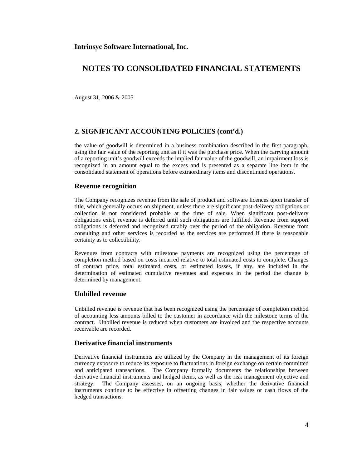August 31, 2006 & 2005

### **2. SIGNIFICANT ACCOUNTING POLICIES (cont'd.)**

the value of goodwill is determined in a business combination described in the first paragraph, using the fair value of the reporting unit as if it was the purchase price. When the carrying amount of a reporting unit's goodwill exceeds the implied fair value of the goodwill, an impairment loss is recognized in an amount equal to the excess and is presented as a separate line item in the consolidated statement of operations before extraordinary items and discontinued operations.

#### **Revenue recognition**

The Company recognizes revenue from the sale of product and software licences upon transfer of title, which generally occurs on shipment, unless there are significant post-delivery obligations or collection is not considered probable at the time of sale. When significant post-delivery obligations exist, revenue is deferred until such obligations are fulfilled. Revenue from support obligations is deferred and recognized ratably over the period of the obligation. Revenue from consulting and other services is recorded as the services are performed if there is reasonable certainty as to collectibility.

Revenues from contracts with milestone payments are recognized using the percentage of completion method based on costs incurred relative to total estimated costs to complete. Changes of contract price, total estimated costs, or estimated losses, if any, are included in the determination of estimated cumulative revenues and expenses in the period the change is determined by management.

#### **Unbilled revenue**

Unbilled revenue is revenue that has been recognized using the percentage of completion method of accounting less amounts billed to the customer in accordance with the milestone terms of the contract. Unbilled revenue is reduced when customers are invoiced and the respective accounts receivable are recorded.

## **Derivative financial instruments**

Derivative financial instruments are utilized by the Company in the management of its foreign currency exposure to reduce its exposure to fluctuations in foreign exchange on certain committed and anticipated transactions. The Company formally documents the relationships between derivative financial instruments and hedged items, as well as the risk management objective and strategy. The Company assesses, on an ongoing basis, whether the derivative financial instruments continue to be effective in offsetting changes in fair values or cash flows of the hedged transactions.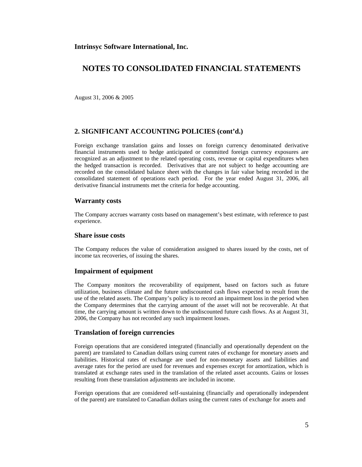August 31, 2006 & 2005

### **2. SIGNIFICANT ACCOUNTING POLICIES (cont'd.)**

Foreign exchange translation gains and losses on foreign currency denominated derivative financial instruments used to hedge anticipated or committed foreign currency exposures are recognized as an adjustment to the related operating costs, revenue or capital expenditures when the hedged transaction is recorded. Derivatives that are not subject to hedge accounting are recorded on the consolidated balance sheet with the changes in fair value being recorded in the consolidated statement of operations each period. For the year ended August 31, 2006, all derivative financial instruments met the criteria for hedge accounting.

#### **Warranty costs**

The Company accrues warranty costs based on management's best estimate, with reference to past experience.

#### **Share issue costs**

The Company reduces the value of consideration assigned to shares issued by the costs, net of income tax recoveries, of issuing the shares.

#### **Impairment of equipment**

The Company monitors the recoverability of equipment, based on factors such as future utilization, business climate and the future undiscounted cash flows expected to result from the use of the related assets. The Company's policy is to record an impairment loss in the period when the Company determines that the carrying amount of the asset will not be recoverable. At that time, the carrying amount is written down to the undiscounted future cash flows. As at August 31, 2006, the Company has not recorded any such impairment losses.

#### **Translation of foreign currencies**

Foreign operations that are considered integrated (financially and operationally dependent on the parent) are translated to Canadian dollars using current rates of exchange for monetary assets and liabilities. Historical rates of exchange are used for non-monetary assets and liabilities and average rates for the period are used for revenues and expenses except for amortization, which is translated at exchange rates used in the translation of the related asset accounts. Gains or losses resulting from these translation adjustments are included in income.

Foreign operations that are considered self-sustaining (financially and operationally independent of the parent) are translated to Canadian dollars using the current rates of exchange for assets and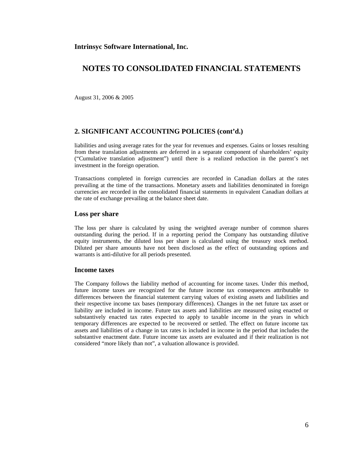August 31, 2006 & 2005

### **2. SIGNIFICANT ACCOUNTING POLICIES (cont'd.)**

liabilities and using average rates for the year for revenues and expenses. Gains or losses resulting from these translation adjustments are deferred in a separate component of shareholders' equity ("Cumulative translation adjustment") until there is a realized reduction in the parent's net investment in the foreign operation.

Transactions completed in foreign currencies are recorded in Canadian dollars at the rates prevailing at the time of the transactions. Monetary assets and liabilities denominated in foreign currencies are recorded in the consolidated financial statements in equivalent Canadian dollars at the rate of exchange prevailing at the balance sheet date.

#### **Loss per share**

The loss per share is calculated by using the weighted average number of common shares outstanding during the period. If in a reporting period the Company has outstanding dilutive equity instruments, the diluted loss per share is calculated using the treasury stock method. Diluted per share amounts have not been disclosed as the effect of outstanding options and warrants is anti-dilutive for all periods presented.

#### **Income taxes**

The Company follows the liability method of accounting for income taxes. Under this method, future income taxes are recognized for the future income tax consequences attributable to differences between the financial statement carrying values of existing assets and liabilities and their respective income tax bases (temporary differences). Changes in the net future tax asset or liability are included in income. Future tax assets and liabilities are measured using enacted or substantively enacted tax rates expected to apply to taxable income in the years in which temporary differences are expected to be recovered or settled. The effect on future income tax assets and liabilities of a change in tax rates is included in income in the period that includes the substantive enactment date. Future income tax assets are evaluated and if their realization is not considered "more likely than not", a valuation allowance is provided.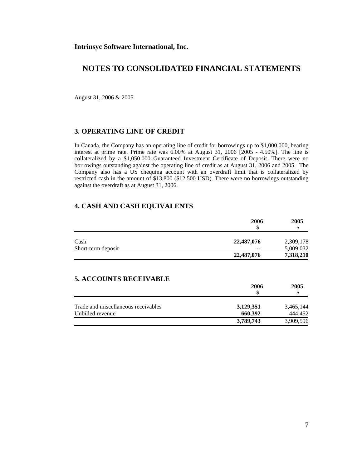August 31, 2006 & 2005

## **3. OPERATING LINE OF CREDIT**

In Canada, the Company has an operating line of credit for borrowings up to \$1,000,000, bearing interest at prime rate. Prime rate was 6.00% at August 31, 2006 [2005 - 4.50%]. The line is collateralized by a \$1,050,000 Guaranteed Investment Certificate of Deposit. There were no borrowings outstanding against the operating line of credit as at August 31, 2006 and 2005. The Company also has a US chequing account with an overdraft limit that is collateralized by restricted cash in the amount of \$13,800 (\$12,500 USD). There were no borrowings outstanding against the overdraft as at August 31, 2006.

### **4. CASH AND CASH EQUIVALENTS**

|                    | 2006<br>\$ | 2005      |
|--------------------|------------|-----------|
| Cash               | 22,487,076 | 2,309,178 |
| Short-term deposit | $-$        | 5,009,032 |
|                    | 22,487,076 | 7,318,210 |

## **5. ACCOUNTS RECEIVABLE**

|                                     | 2006                 | 2005                 |
|-------------------------------------|----------------------|----------------------|
| Trade and miscellaneous receivables | 3,129,351            | 3,465,144            |
| Unbilled revenue                    | 660.392<br>3,789,743 | 444.452<br>3,909,596 |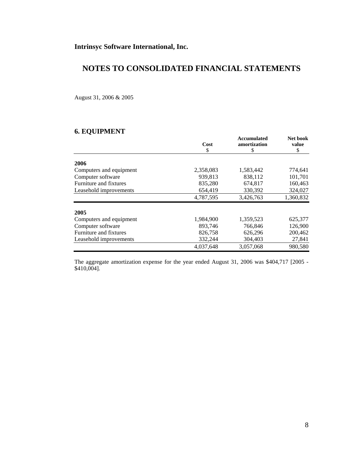August 31, 2006 & 2005

## **6. EQUIPMENT**

|                         | Cost      | Accumulated<br>amortization | Net book    |
|-------------------------|-----------|-----------------------------|-------------|
|                         | \$        | \$                          | value<br>\$ |
|                         |           |                             |             |
| 2006                    |           |                             |             |
| Computers and equipment | 2,358,083 | 1,583,442                   | 774,641     |
| Computer software       | 939,813   | 838,112                     | 101,701     |
| Furniture and fixtures  | 835,280   | 674,817                     | 160,463     |
| Leasehold improvements  | 654.419   | 330,392                     | 324,027     |
|                         | 4,787,595 | 3,426,763                   | 1,360,832   |
| 2005                    |           |                             |             |
| Computers and equipment | 1,984,900 | 1,359,523                   | 625,377     |
| Computer software       | 893,746   | 766,846                     | 126,900     |
| Furniture and fixtures  | 826,758   | 626,296                     | 200,462     |
| Leasehold improvements  | 332,244   | 304,403                     | 27,841      |
|                         | 4,037,648 | 3,057,068                   | 980,580     |

The aggregate amortization expense for the year ended August 31, 2006 was \$404,717 [2005 - \$410,004].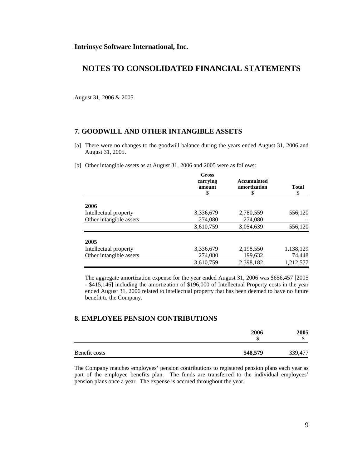August 31, 2006 & 2005

### **7. GOODWILL AND OTHER INTANGIBLE ASSETS**

- [a] There were no changes to the goodwill balance during the years ended August 31, 2006 and August 31, 2005.
- [b] Other intangible assets as at August 31, 2006 and 2005 were as follows:

|                         | Gross<br>carrying<br>amount<br>S | <b>Accumulated</b><br>amortization<br>\$ | <b>Total</b><br>\$ |
|-------------------------|----------------------------------|------------------------------------------|--------------------|
| 2006                    |                                  |                                          |                    |
| Intellectual property   | 3,336,679                        | 2,780,559                                | 556,120            |
| Other intangible assets | 274,080                          | 274,080                                  |                    |
|                         | 3,610,759                        | 3,054,639                                | 556,120            |
| 2005                    |                                  |                                          |                    |
| Intellectual property   | 3,336,679                        | 2,198,550                                | 1,138,129          |
| Other intangible assets | 274,080                          | 199,632                                  | 74,448             |
|                         | 3,610,759                        | 2,398,182                                | 1,212,577          |

 The aggregate amortization expense for the year ended August 31, 2006 was \$656,457 [2005 - \$415,146] including the amortization of \$196,000 of Intellectual Property costs in the year ended August 31, 2006 related to intellectual property that has been deemed to have no future benefit to the Company.

## **8. EMPLOYEE PENSION CONTRIBUTIONS**

|               | 2006<br>Φ<br>J | 2005<br>ω |
|---------------|----------------|-----------|
| Benefit costs | 548,579        | 339,477   |

The Company matches employees' pension contributions to registered pension plans each year as part of the employee benefits plan. The funds are transferred to the individual employees' pension plans once a year. The expense is accrued throughout the year.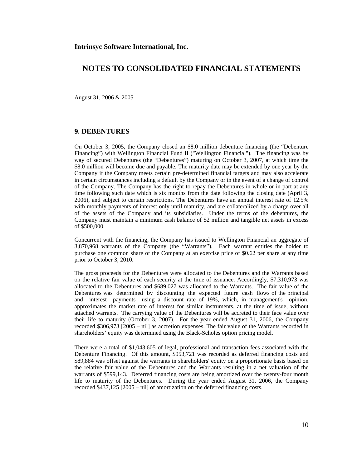August 31, 2006 & 2005

#### **9. DEBENTURES**

On October 3, 2005, the Company closed an \$8.0 million debenture financing (the "Debenture Financing") with Wellington Financial Fund II ("Wellington Financial"). The financing was by way of secured Debentures (the "Debentures") maturing on October 3, 2007, at which time the \$8.0 million will become due and payable. The maturity date may be extended by one year by the Company if the Company meets certain pre-determined financial targets and may also accelerate in certain circumstances including a default by the Company or in the event of a change of control of the Company. The Company has the right to repay the Debentures in whole or in part at any time following such date which is six months from the date following the closing date (April 3, 2006), and subject to certain restrictions. The Debentures have an annual interest rate of 12.5% with monthly payments of interest only until maturity, and are collateralized by a charge over all of the assets of the Company and its subsidiaries. Under the terms of the debentures, the Company must maintain a minimum cash balance of \$2 million and tangible net assets in excess of \$500,000.

Concurrent with the financing, the Company has issued to Wellington Financial an aggregate of 3,870,968 warrants of the Company (the "Warrants"). Each warrant entitles the holder to purchase one common share of the Company at an exercise price of \$0.62 per share at any time prior to October 3, 2010.

The gross proceeds for the Debentures were allocated to the Debentures and the Warrants based on the relative fair value of each security at the time of issuance. Accordingly, \$7,310,973 was allocated to the Debentures and \$689,027 was allocated to the Warrants. The fair value of the Debentures was determined by discounting the expected future cash flows of the principal and interest payments using a discount rate of 19%, which, in management's opinion, approximates the market rate of interest for similar instruments, at the time of issue, without attached warrants. The carrying value of the Debentures will be accreted to their face value over their life to maturity (October 3, 2007). For the year ended August 31, 2006, the Company recorded \$306,973 [2005 – nil] as accretion expenses. The fair value of the Warrants recorded in shareholders' equity was determined using the Black-Scholes option pricing model.

There were a total of \$1,043,605 of legal, professional and transaction fees associated with the Debenture Financing. Of this amount, \$953,721 was recorded as deferred financing costs and \$89,884 was offset against the warrants in shareholders' equity on a proportionate basis based on the relative fair value of the Debentures and the Warrants resulting in a net valuation of the warrants of \$599,143. Deferred financing costs are being amortized over the twenty-four month life to maturity of the Debentures. During the year ended August 31, 2006, the Company recorded \$437,125 [2005 – nil] of amortization on the deferred financing costs.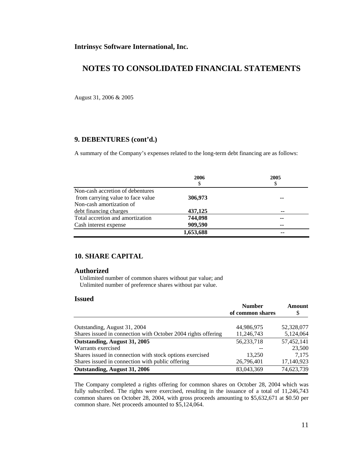August 31, 2006 & 2005

## **9. DEBENTURES (cont'd.)**

A summary of the Company's expenses related to the long-term debt financing are as follows:

|                                   | 2006      | 2005 |
|-----------------------------------|-----------|------|
|                                   | \$        | \$   |
| Non-cash accretion of debentures  |           |      |
| from carrying value to face value | 306,973   | --   |
| Non-cash amortization of          |           |      |
| debt financing charges            | 437,125   | --   |
| Total accretion and amortization  | 744,098   | --   |
| Cash interest expense             | 909,590   | --   |
|                                   | 1,653,688 | --   |

### **10. SHARE CAPITAL**

#### **Authorized**

 Unlimited number of common shares without par value; and Unlimited number of preference shares without par value.

### **Issued**

|                                                               | <b>Number</b>    | Amount     |
|---------------------------------------------------------------|------------------|------------|
|                                                               | of common shares | S          |
|                                                               |                  |            |
| Outstanding, August 31, 2004                                  | 44,986,975       | 52,328,077 |
| Shares issued in connection with October 2004 rights offering | 11,246,743       | 5,124,064  |
| Outstanding, August 31, 2005                                  | 56,233,718       | 57,452,141 |
| Warrants exercised                                            |                  | 23,500     |
| Shares issued in connection with stock options exercised      | 13,250           | 7.175      |
| Shares issued in connection with public offering              | 26,796,401       | 17,140,923 |
| Outstanding, August 31, 2006                                  | 83,043,369       | 74,623,739 |

The Company completed a rights offering for common shares on October 28, 2004 which was fully subscribed. The rights were exercised, resulting in the issuance of a total of 11,246,743 common shares on October 28, 2004, with gross proceeds amounting to \$5,632,671 at \$0.50 per common share. Net proceeds amounted to \$5,124,064.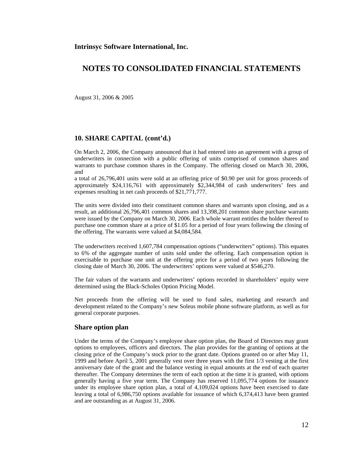August 31, 2006 & 2005

#### **10. SHARE CAPITAL (cont'd.)**

On March 2, 2006, the Company announced that it had entered into an agreement with a group of underwriters in connection with a public offering of units comprised of common shares and warrants to purchase common shares in the Company. The offering closed on March 30, 2006, and

a total of 26,796,401 units were sold at an offering price of \$0.90 per unit for gross proceeds of approximately \$24,116,761 with approximately \$2,344,984 of cash underwriters' fees and expenses resulting in net cash proceeds of \$21,771,777.

The units were divided into their constituent common shares and warrants upon closing, and as a result, an additional 26,796,401 common shares and 13,398,201 common share purchase warrants were issued by the Company on March 30, 2006. Each whole warrant entitles the holder thereof to purchase one common share at a price of \$1.05 for a period of four years following the closing of the offering. The warrants were valued at \$4,084,584.

The underwriters received 1,607,784 compensation options ("underwriters" options). This equates to 6% of the aggregate number of units sold under the offering. Each compensation option is exercisable to purchase one unit at the offering price for a period of two years following the closing date of March 30, 2006. The underwriters' options were valued at \$546,270.

The fair values of the warrants and underwriters' options recorded in shareholders' equity were determined using the Black-Scholes Option Pricing Model.

Net proceeds from the offering will be used to fund sales, marketing and research and development related to the Company's new Soleus mobile phone software platform, as well as for general corporate purposes.

## **Share option plan**

Under the terms of the Company's employee share option plan, the Board of Directors may grant options to employees, officers and directors. The plan provides for the granting of options at the closing price of the Company's stock prior to the grant date. Options granted on or after May 11, 1999 and before April 5, 2001 generally vest over three years with the first 1/3 vesting at the first anniversary date of the grant and the balance vesting in equal amounts at the end of each quarter thereafter. The Company determines the term of each option at the time it is granted, with options generally having a five year term. The Company has reserved 11,095,774 options for issuance under its employee share option plan, a total of 4,109,024 options have been exercised to date leaving a total of 6,986,750 options available for issuance of which 6,374,413 have been granted and are outstanding as at August 31, 2006.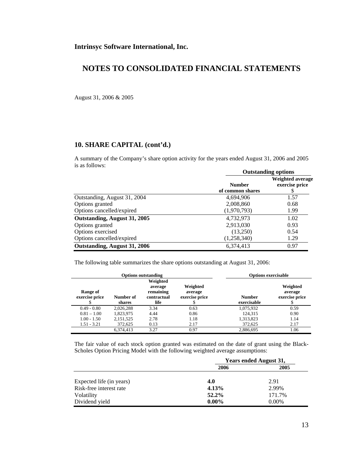August 31, 2006 & 2005

### **10. SHARE CAPITAL (cont'd.)**

A summary of the Company's share option activity for the years ended August 31, 2006 and 2005 is as follows: **Outstanding options** 

|                              | <b>Outstanding options</b> |                                    |
|------------------------------|----------------------------|------------------------------------|
|                              | <b>Number</b>              | Weighted average<br>exercise price |
|                              | of common shares           | \$                                 |
| Outstanding, August 31, 2004 | 4,694,906                  | 1.57                               |
| Options granted              | 2,008,860                  | 0.68                               |
| Options cancelled/expired    | (1,970,793)                | 1.99                               |
| Outstanding, August 31, 2005 | 4,732,973                  | 1.02                               |
| Options granted              | 2,913,030                  | 0.93                               |
| Options exercised            | (13,250)                   | 0.54                               |
| Options cancelled/expired    | (1,258,340)                | 1.29                               |
| Outstanding, August 31, 2006 | 6,374,413                  | 0.97                               |

The following table summarizes the share options outstanding at August 31, 2006:

| <b>Options outstanding</b> |                     |                                                         | <b>Options exercisable</b>            |                              |                                       |
|----------------------------|---------------------|---------------------------------------------------------|---------------------------------------|------------------------------|---------------------------------------|
| Range of<br>exercise price | Number of<br>shares | Weighted<br>average<br>remaining<br>contractual<br>life | Weighted<br>average<br>exercise price | <b>Number</b><br>exercisable | Weighted<br>average<br>exercise price |
| $0.49 - 0.80$              | 2.026.288           | 3.34                                                    | 0.63                                  | 1,075,932                    | 0.59                                  |
| $0.81 - 1.00$              | 1,823,975           | 4.44                                                    | 0.86                                  | 124,315                      | 0.90                                  |
| $1.00 - 1.50$              | 2,151,525           | 2.78                                                    | 1.18                                  | 1,313,823                    | 1.14                                  |
| $1.51 - 3.21$              | 372.625             | 0.13                                                    | 2.17                                  | 372,625                      | 2.17                                  |
|                            | 6.374.413           | 3.27                                                    | 0.97                                  | 2.886.695                    | 1.06                                  |

The fair value of each stock option granted was estimated on the date of grant using the Black-Scholes Option Pricing Model with the following weighted average assumptions:

|                          | Years ended August 31, |          |
|--------------------------|------------------------|----------|
|                          | 2006                   | 2005     |
| Expected life (in years) | 4.0                    | 2.91     |
| Risk-free interest rate  | 4.13%                  | 2.99%    |
| Volatility               | $52.2\%$               | 171.7%   |
| Dividend yield           | $0.00\%$               | $0.00\%$ |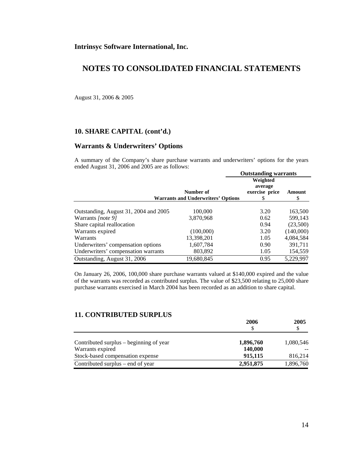**Intrinsyc Software International, Inc.** 

## **NOTES TO CONSOLIDATED FINANCIAL STATEMENTS**

August 31, 2006 & 2005

### **10. SHARE CAPITAL (cont'd.)**

### **Warrants & Underwriters' Options**

A summary of the Company's share purchase warrants and underwriters' options for the years ended August 31, 2006 and 2005 are as follows:

|                                       |                                                        | <b>Outstanding warrants</b>                |             |
|---------------------------------------|--------------------------------------------------------|--------------------------------------------|-------------|
|                                       | Number of<br><b>Warrants and Underwriters' Options</b> | Weighted<br>average<br>exercise price<br>S | Amount<br>S |
| Outstanding, August 31, 2004 and 2005 | 100,000                                                | 3.20                                       | 163,500     |
| Warrants <i>[note 9]</i>              | 3,870,968                                              | 0.62                                       | 599,143     |
| Share capital reallocation            |                                                        | 0.94                                       | (23,500)    |
| Warrants expired                      | (100,000)                                              | 3.20                                       | (140,000)   |
| Warrants                              | 13,398,201                                             | 1.05                                       | 4,084,584   |
| Underwriters' compensation options    | 1,607,784                                              | 0.90                                       | 391,711     |
| Underwriters' compensation warrants   | 803,892                                                | 1.05                                       | 154,559     |
| Outstanding, August 31, 2006          | 19,680,845                                             | 0.95                                       | 5,229,997   |

On January 26, 2006, 100,000 share purchase warrants valued at \$140,000 expired and the value of the warrants was recorded as contributed surplus. The value of \$23,500 relating to 25,000 share purchase warrants exercised in March 2004 has been recorded as an addition to share capital.

## **11. CONTRIBUTED SURPLUS**

|                                         | 2006      | 2005      |
|-----------------------------------------|-----------|-----------|
|                                         |           |           |
| Contributed surplus – beginning of year | 1,896,760 | 1,080,546 |
| Warrants expired                        | 140,000   |           |
| Stock-based compensation expense        | 915,115   | 816,214   |
| Contributed surplus – end of year       | 2,951,875 | 1,896,760 |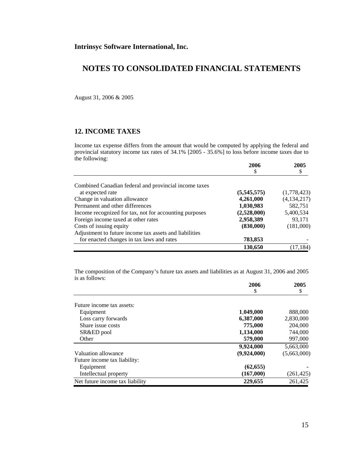August 31, 2006 & 2005

## **12. INCOME TAXES**

Income tax expense differs from the amount that would be computed by applying the federal and provincial statutory income tax rates of 34.1% [2005 - 35.6%] to loss before income taxes due to the following:

|                                                        | 2006          | 2005          |
|--------------------------------------------------------|---------------|---------------|
|                                                        |               |               |
| Combined Canadian federal and provincial income taxes  |               |               |
| at expected rate                                       | (5, 545, 575) | (1,778,423)   |
| Change in valuation allowance                          | 4,261,000     | (4, 134, 217) |
| Permanent and other differences                        | 1,030,983     | 582,751       |
| Income recognized for tax, not for accounting purposes | (2,528,000)   | 5,400,534     |
| Foreign income taxed at other rates                    | 2,958,389     | 93,171        |
| Costs of issuing equity                                | (830,000)     | (181,000)     |
| Adjustment to future income tax assets and liabilities |               |               |
| for enacted changes in tax laws and rates              | 783,853       |               |
|                                                        | 130,650       | (17, 184)     |

The composition of the Company's future tax assets and liabilities as at August 31, 2006 and 2005 is as follows:

|                                 | 2006        | 2005        |
|---------------------------------|-------------|-------------|
|                                 | \$          | \$          |
|                                 |             |             |
| Future income tax assets:       |             |             |
| Equipment                       | 1,049,000   | 888,000     |
| Loss carry forwards             | 6,387,000   | 2,830,000   |
| Share issue costs               | 775,000     | 204,000     |
| SR&ED pool                      | 1,134,000   | 744,000     |
| Other                           | 579,000     | 997,000     |
|                                 | 9,924,000   | 5,663,000   |
| Valuation allowance             | (9,924,000) | (5,663,000) |
| Future income tax liability:    |             |             |
| Equipment                       | (62, 655)   |             |
| Intellectual property           | (167,000)   | (261, 425)  |
| Net future income tax liability | 229,655     | 261.425     |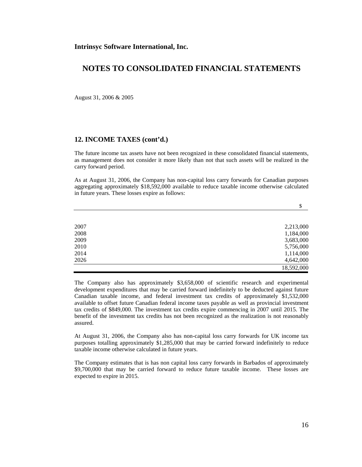August 31, 2006 & 2005

### **12. INCOME TAXES (cont'd.)**

The future income tax assets have not been recognized in these consolidated financial statements, as management does not consider it more likely than not that such assets will be realized in the carry forward period.

As at August 31, 2006, the Company has non-capital loss carry forwards for Canadian purposes aggregating approximately \$18,592,000 available to reduce taxable income otherwise calculated in future years. These losses expire as follows:

|      | \$         |
|------|------------|
|      |            |
| 2007 | 2,213,000  |
| 2008 | 1,184,000  |
| 2009 | 3,683,000  |
| 2010 | 5,756,000  |
| 2014 | 1,114,000  |
| 2026 | 4,642,000  |
|      | 18,592,000 |

The Company also has approximately \$3,658,000 of scientific research and experimental development expenditures that may be carried forward indefinitely to be deducted against future Canadian taxable income, and federal investment tax credits of approximately \$1,532,000 available to offset future Canadian federal income taxes payable as well as provincial investment tax credits of \$849,000. The investment tax credits expire commencing in 2007 until 2015. The benefit of the investment tax credits has not been recognized as the realization is not reasonably assured.

At August 31, 2006, the Company also has non-capital loss carry forwards for UK income tax purposes totalling approximately \$1,285,000 that may be carried forward indefinitely to reduce taxable income otherwise calculated in future years.

The Company estimates that is has non capital loss carry forwards in Barbados of approximately \$9,700,000 that may be carried forward to reduce future taxable income. These losses are expected to expire in 2015.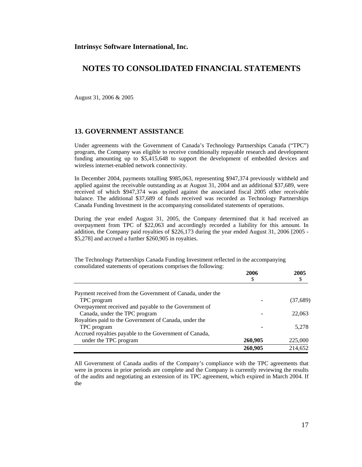August 31, 2006 & 2005

#### **13. GOVERNMENT ASSISTANCE**

Under agreements with the Government of Canada's Technology Partnerships Canada ("TPC") program, the Company was eligible to receive conditionally repayable research and development funding amounting up to \$5,415,648 to support the development of embedded devices and wireless internet-enabled network connectivity.

In December 2004, payments totalling \$985,063, representing \$947,374 previously withheld and applied against the receivable outstanding as at August 31, 2004 and an additional \$37,689, were received of which \$947,374 was applied against the associated fiscal 2005 other receivable balance. The additional \$37,689 of funds received was recorded as Technology Partnerships Canada Funding Investment in the accompanying consolidated statements of operations.

During the year ended August 31, 2005, the Company determined that it had received an overpayment from TPC of \$22,063 and accordingly recorded a liability for this amount. In addition, the Company paid royalties of \$226,173 during the year ended August 31, 2006 [2005 - \$5,278] and accrued a further \$260,905 in royalties.

The Technology Partnerships Canada Funding Investment reflected in the accompanying consolidated statements of operations comprises the following:

|                                                           | 2006    | 2005     |
|-----------------------------------------------------------|---------|----------|
|                                                           | \$      |          |
| Payment received from the Government of Canada, under the |         |          |
| TPC program                                               |         | (37,689) |
| Overpayment received and payable to the Government of     |         |          |
| Canada, under the TPC program                             |         | 22,063   |
| Royalties paid to the Government of Canada, under the     |         |          |
| TPC program                                               |         | 5.278    |
| Accrued royalties payable to the Government of Canada,    |         |          |
| under the TPC program                                     | 260,905 | 225,000  |
|                                                           | 260,905 | 214.652  |

All Government of Canada audits of the Company's compliance with the TPC agreements that were in process in prior periods are complete and the Company is currently reviewing the results of the audits and negotiating an extension of its TPC agreement, which expired in March 2004. If the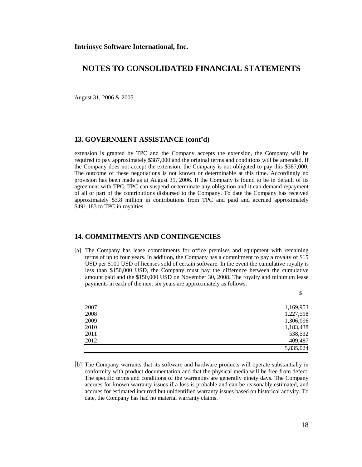August 31, 2006 & 2005

#### **13. GOVERNMENT ASSISTANCE (cont'd)**

extension is granted by TPC and the Company accepts the extension, the Company will be required to pay approximately \$387,000 and the original terms and conditions will be amended. If the Company does not accept the extension, the Company is not obligated to pay this \$387,000. The outcome of these negotiations is not known or determinable at this time. Accordingly no provision has been made as at August 31, 2006. If the Company is found to be in default of its agreement with TPC, TPC can suspend or terminate any obligation and it can demand repayment of all or part of the contributions disbursed to the Company. To date the Company has received approximately \$3.8 million in contributions from TPC and paid and accrued approximately \$491,183 to TPC in royalties.

### **14. COMMITMENTS AND CONTINGENCIES**

[a] The Company has lease commitments for office premises and equipment with remaining terms of up to four years. In addition, the Company has a commitment to pay a royalty of \$15 USD per \$100 USD of licenses sold of certain software. In the event the cumulative royalty is less than \$150,000 USD, the Company must pay the difference between the cumulative amount paid and the \$150,000 USD on November 30, 2008. The royalty and minimum lease payments in each of the next six years are approximately as follows:

|      | \$        |
|------|-----------|
| 2007 | 1,169,953 |
| 2008 | 1,227,518 |
| 2009 | 1,306,096 |
| 2010 | 1,183,438 |
| 2011 | 538,532   |
| 2012 | 409,487   |
|      | 5,835,024 |

[b] The Company warrants that its software and hardware products will operate substantially in conformity with product documentation and that the physical media will be free from defect. The specific terms and conditions of the warranties are generally ninety days. The Company accrues for known warranty issues if a loss is probable and can be reasonably estimated, and accrues for estimated incurred but unidentified warranty issues based on historical activity. To date, the Company has had no material warranty claims.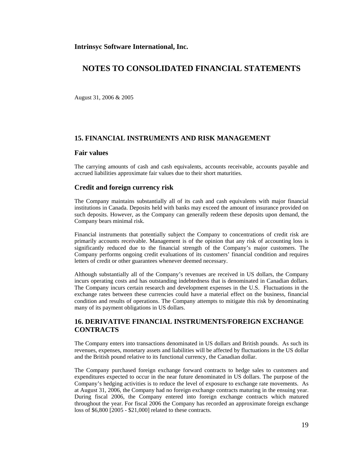August 31, 2006 & 2005

#### **15. FINANCIAL INSTRUMENTS AND RISK MANAGEMENT**

#### **Fair values**

The carrying amounts of cash and cash equivalents, accounts receivable, accounts payable and accrued liabilities approximate fair values due to their short maturities.

#### **Credit and foreign currency risk**

The Company maintains substantially all of its cash and cash equivalents with major financial institutions in Canada. Deposits held with banks may exceed the amount of insurance provided on such deposits. However, as the Company can generally redeem these deposits upon demand, the Company bears minimal risk.

Financial instruments that potentially subject the Company to concentrations of credit risk are primarily accounts receivable. Management is of the opinion that any risk of accounting loss is significantly reduced due to the financial strength of the Company's major customers. The Company performs ongoing credit evaluations of its customers' financial condition and requires letters of credit or other guarantees whenever deemed necessary.

Although substantially all of the Company's revenues are received in US dollars, the Company incurs operating costs and has outstanding indebtedness that is denominated in Canadian dollars. The Company incurs certain research and development expenses in the U.S. Fluctuations in the exchange rates between these currencies could have a material effect on the business, financial condition and results of operations. The Company attempts to mitigate this risk by denominating many of its payment obligations in US dollars.

## **16. DERIVATIVE FINANCIAL INSTRUMENTS/FOREIGN EXCHANGE CONTRACTS**

The Company enters into transactions denominated in US dollars and British pounds. As such its revenues, expenses, monetary assets and liabilities will be affected by fluctuations in the US dollar and the British pound relative to its functional currency, the Canadian dollar.

The Company purchased foreign exchange forward contracts to hedge sales to customers and expenditures expected to occur in the near future denominated in US dollars. The purpose of the Company's hedging activities is to reduce the level of exposure to exchange rate movements. As at August 31, 2006, the Company had no foreign exchange contracts maturing in the ensuing year. During fiscal 2006, the Company entered into foreign exchange contracts which matured throughout the year. For fiscal 2006 the Company has recorded an approximate foreign exchange loss of \$6,800 [2005 - \$21,000] related to these contracts.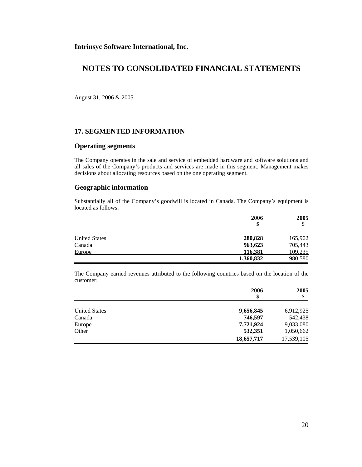**Intrinsyc Software International, Inc.** 

## **NOTES TO CONSOLIDATED FINANCIAL STATEMENTS**

August 31, 2006 & 2005

#### **17. SEGMENTED INFORMATION**

#### **Operating segments**

The Company operates in the sale and service of embedded hardware and software solutions and all sales of the Company's products and services are made in this segment. Management makes decisions about allocating resources based on the one operating segment.

### **Geographic information**

Substantially all of the Company's goodwill is located in Canada. The Company's equipment is located as follows:

|                      | 2006      | 2005<br>Φ |
|----------------------|-----------|-----------|
|                      | \$        |           |
| <b>United States</b> | 280,828   | 165,902   |
| Canada               | 963,623   | 705,443   |
| Europe               | 116,381   | 109,235   |
|                      | 1,360,832 | 980,580   |

The Company earned revenues attributed to the following countries based on the location of the customer:

|                      | 2006<br>\$ | 2005<br>\$ |
|----------------------|------------|------------|
| <b>United States</b> | 9,656,845  | 6,912,925  |
| Canada               | 746,597    | 542,438    |
| Europe               | 7,721,924  | 9,033,080  |
| Other                | 532,351    | 1,050,662  |
|                      | 18,657,717 | 17,539,105 |